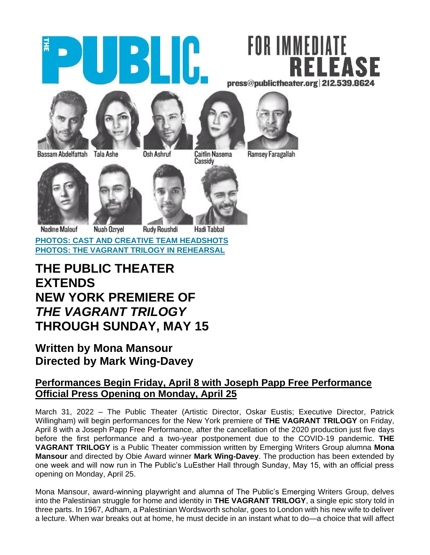

# FOR IMMEDIATE **FASE** press@publictheater.org 212.539.8624







Caitlin Nasema

Ramsey Faragallah

Bassam Abdelfattah Tala Ashe





**Rudy Roushdi** 

**Hadi Tabbal** 

**[PHOTOS: CAST AND CREATIVE TEAM HEADSHOTS](https://www.dropbox.com/sh/ys9ju02llbhl4b8/AACIV8JK9CfOg-p9a7zN6-ANa?dl=0) [PHOTOS: THE VAGRANT TRILOGY IN REHEARSAL](https://publictheater.org/about/press/21-22/the-vagrant-trilogy)** 

## **THE PUBLIC THEATER EXTENDS NEW YORK PREMIERE OF**  *THE VAGRANT TRILOGY*  **THROUGH SUNDAY, MAY 15**

## **Written by Mona Mansour Directed by Mark Wing-Davey**

### **Performances Begin Friday, April 8 with Joseph Papp Free Performance Official Press Opening on Monday, April 25**

March 31, 2022 – The Public Theater (Artistic Director, Oskar Eustis; Executive Director, Patrick Willingham) will begin performances for the New York premiere of **THE VAGRANT TRILOGY** on Friday, April 8 with a Joseph Papp Free Performance, after the cancellation of the 2020 production just five days before the first performance and a two-year postponement due to the COVID-19 pandemic. **THE VAGRANT TRILOGY** is a Public Theater commission written by Emerging Writers Group alumna **Mona Mansour** and directed by Obie Award winner **Mark Wing-Davey**. The production has been extended by one week and will now run in The Public's LuEsther Hall through Sunday, May 15, with an official press opening on Monday, April 25.

Mona Mansour, award-winning playwright and alumna of The Public's Emerging Writers Group, delves into the Palestinian struggle for home and identity in **THE VAGRANT TRILOGY**, a single epic story told in three parts. In 1967, Adham, a Palestinian Wordsworth scholar, goes to London with his new wife to deliver a lecture. When war breaks out at home, he must decide in an instant what to do—a choice that will affect

Osh Ashruf

Cassidy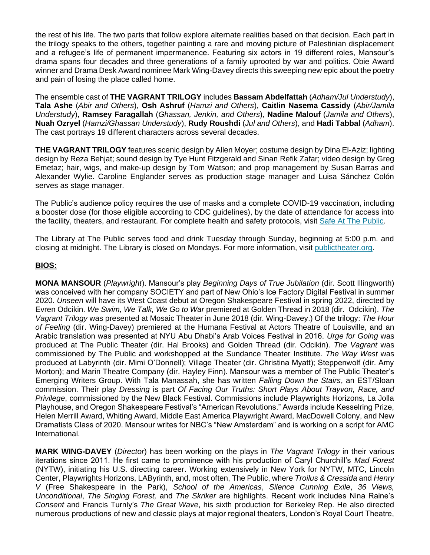the rest of his life. The two parts that follow explore alternate realities based on that decision. Each part in the trilogy speaks to the others, together painting a rare and moving picture of Palestinian displacement and a refugee's life of permanent impermanence. Featuring six actors in 19 different roles, Mansour's drama spans four decades and three generations of a family uprooted by war and politics. Obie Award winner and Drama Desk Award nominee Mark Wing-Davey directs this sweeping new epic about the poetry and pain of losing the place called home.

The ensemble cast of **THE VAGRANT TRILOGY** includes **Bassam Abdelfattah** (*Adham/Jul Understudy*), **Tala Ashe** (*Abir and Others*), **Osh Ashruf** (*Hamzi and Others*), **Caitlin Nasema Cassidy** (*Abir/Jamila Understudy*), **Ramsey Faragallah** (*Ghassan, Jenkin, and Others*), **Nadine Malouf** (*Jamila and Others*), **Nuah Ozryel** (*Hamzi/Ghassan Understudy*), **Rudy Roushdi** (*Jul and Others*), and **Hadi Tabbal** (*Adham*). The cast portrays 19 different characters across several decades.

**THE VAGRANT TRILOGY** features scenic design by Allen Moyer; costume design by Dina El-Aziz; lighting design by Reza Behjat; sound design by Tye Hunt Fitzgerald and Sinan Refik Zafar; video design by Greg Emetaz; hair, wigs, and make-up design by Tom Watson; and prop management by Susan Barras and Alexander Wylie. Caroline Englander serves as production stage manager and Luisa Sánchez Colón serves as stage manager.

The Public's audience policy requires the use of masks and a complete COVID-19 vaccination, including a booster dose (for those eligible according to CDC guidelines), by the date of attendance for access into the facility, theaters, and restaurant. For complete health and safety protocols, visit [Safe At The Public.](http://thepublic.nyc/safeatthepublic)

The Library at The Public serves food and drink Tuesday through Sunday, beginning at 5:00 p.m. and closing at midnight. The Library is closed on Mondays. For more information, visit [publictheater.org.](http://www.publictheater.org/)

#### **BIOS:**

**MONA MANSOUR** (*Playwright*). Mansour's play *Beginning Days of True Jubilation* (dir. Scott Illingworth) was conceived with her company SOCIETY and part of New Ohio's Ice Factory Digital Festival in summer 2020. *Unseen* will have its West Coast debut at Oregon Shakespeare Festival in spring 2022, directed by Evren Odcikin. *We Swim, We Talk, We Go to War* premiered at Golden Thread in 2018 (dir. Odcikin). *The Vagrant Trilogy* was presented at Mosaic Theater in June 2018 (dir. Wing-Davey.) Of the trilogy: *The Hour of Feeling* (dir. Wing-Davey) premiered at the Humana Festival at Actors Theatre of Louisville, and an Arabic translation was presented at NYU Abu Dhabi's Arab Voices Festival in 2016. *Urge for Going* was produced at The Public Theater (dir. Hal Brooks) and Golden Thread (dir. Odcikin). *The Vagrant* was commissioned by The Public and workshopped at the Sundance Theater Institute. *The Way West* was produced at Labyrinth (dir. Mimi O'Donnell); Village Theater (dir. Christina Myatt); Steppenwolf (dir. Amy Morton); and Marin Theatre Company (dir. Hayley Finn). Mansour was a member of The Public Theater's Emerging Writers Group. With Tala Manassah, she has written *Falling Down the Stairs*, an EST/Sloan commission. Their play *Dressing* is part *Of Facing Our Truths: Short Plays About Trayvon, Race, and Privilege*, commissioned by the New Black Festival. Commissions include Playwrights Horizons, La Jolla Playhouse, and Oregon Shakespeare Festival's "American Revolutions." Awards include Kesselring Prize, Helen Merrill Award, Whiting Award, Middle East America Playwright Award, MacDowell Colony, and New Dramatists Class of 2020. Mansour writes for NBC's "New Amsterdam" and is working on a script for AMC International.

**MARK WING-DAVEY** (*Director*) has been working on the plays in *The Vagrant Trilogy* in their various iterations since 2011. He first came to prominence with his production of Caryl Churchill's *Mad Forest* (NYTW), initiating his U.S. directing career. Working extensively in New York for NYTW, MTC, Lincoln Center, Playwrights Horizons, LAByrinth, and, most often, The Public, where *Troilus & Cressida* and *Henry V* (Free Shakespeare in the Park), *School of the Americas*, *Silence Cunning Exile*, *36 Views, Unconditional*, *The Singing Forest,* and *The Skriker* are highlights. Recent work includes Nina Raine's *Consent* and Francis Turnly's *The Great Wave*, his sixth production for Berkeley Rep. He also directed numerous productions of new and classic plays at major regional theaters, London's Royal Court Theatre,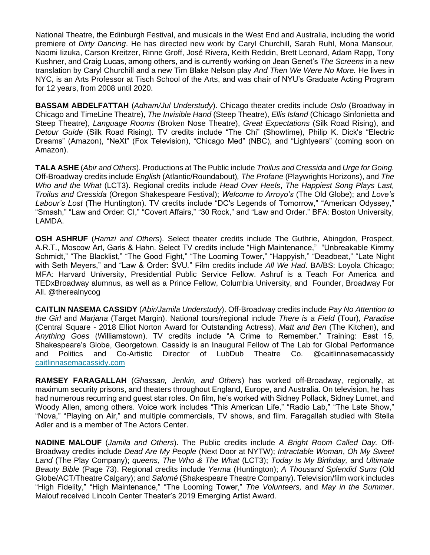National Theatre, the Edinburgh Festival, and musicals in the West End and Australia, including the world premiere of *Dirty Dancing*. He has directed new work by Caryl Churchill, Sarah Ruhl, Mona Mansour, Naomi Iizuka, Carson Kreitzer, Rinne Groff, José Rivera, Keith Reddin, Brett Leonard, Adam Rapp, Tony Kushner, and Craig Lucas, among others, and is currently working on Jean Genet's *The Screens* in a new translation by Caryl Churchill and a new Tim Blake Nelson play *And Then We Were No More.* He lives in NYC, is an Arts Professor at Tisch School of the Arts, and was chair of NYU's Graduate Acting Program for 12 years, from 2008 until 2020.

**BASSAM ABDELFATTAH** (*Adham/Jul Understudy*). Chicago theater credits include *Oslo* (Broadway in Chicago and TimeLine Theatre), *The Invisible Hand* (Steep Theatre), *Ellis Island* (Chicago Sinfonietta and Steep Theatre), *Language Rooms* (Broken Nose Theatre), *Great Expectations* (Silk Road Rising), and *Detour Guide* (Silk Road Rising). TV credits include "The Chi" (Showtime), Philip K. Dick's "Electric Dreams" (Amazon), "NeXt" (Fox Television), "Chicago Med" (NBC), and "Lightyears" (coming soon on Amazon).

**TALA ASHE** (*Abir and Others*). Productions at The Public include *Troilus and Cressida* and *Urge for Going.* Off-Broadway credits include *English* (Atlantic/Roundabout)*, The Profane* (Playwrights Horizons), and *The Who and the What* (LCT3). Regional credits include *Head Over Heels*, *The Happiest Song Plays Last, Troilus and Cressida* (Oregon Shakespeare Festival); *Welcome to Arroyo's* (The Old Globe); and *Love's Labour's Lost* (The Huntington). TV credits include "DC's Legends of Tomorrow," "American Odyssey," "Smash," "Law and Order: CI," "Covert Affairs," "30 Rock," and "Law and Order." BFA: Boston University, LAMDA.

**OSH ASHRUF** (*Hamzi and Others*). Select theater credits include The Guthrie, Abingdon, Prospect, A.R.T., Moscow Art, Garis & Hahn. Select TV credits include "High Maintenance," "Unbreakable Kimmy Schmidt," "The Blacklist," "The Good Fight," "The Looming Tower," "Happyish," "Deadbeat," "Late Night with Seth Meyers," and "Law & Order: SVU*.*" Film credits include *All We Had*. BA/BS: Loyola Chicago; MFA: Harvard University, Presidential Public Service Fellow. Ashruf is a Teach For America and TEDxBroadway alumnus, as well as a Prince Fellow, Columbia University, and Founder, Broadway For All. @therealnycog

**CAITLIN NASEMA CASSIDY** (*Abir/Jamila Understudy*). Off-Broadway credits include *Pay No Attention to the Girl* and *Marjana* (Target Margin). National tours/regional include *There is a Field* (Tour)*, Paradise*  (Central Square - 2018 Elliot Norton Award for Outstanding Actress), *Matt and Ben* (The Kitchen), and *Anything Goes* (Williamstown). TV credits include "A Crime to Remember." Training: East 15, Shakespeare's Globe, Georgetown. Cassidy is an Inaugural Fellow of The Lab for Global Performance and Politics and Co-Artistic Director of LubDub Theatre Co. @caitlinnasemacassid[y](https://nam10.safelinks.protection.outlook.com/?url=http%3A%2F%2Fcaitlinnasemacassidy.com%2F&data=04%7C01%7C%7C05a2a16cd3e2447c673a08d9d549897d%7C819f3c4644b8404c8220f690820adca2%7C0%7C0%7C637775334106612411%7CUnknown%7CTWFpbGZsb3d8eyJWIjoiMC4wLjAwMDAiLCJQIjoiV2luMzIiLCJBTiI6Ik1haWwiLCJXVCI6Mn0%3D%7C3000&sdata=QVtWd3Yfyo2E33NO5GdN8nvx654SrvJIUT4uUeeq6vY%3D&reserved=0) [caitlinnasemacassidy.com](https://nam10.safelinks.protection.outlook.com/?url=http%3A%2F%2Fcaitlinnasemacassidy.com%2F&data=04%7C01%7C%7C05a2a16cd3e2447c673a08d9d549897d%7C819f3c4644b8404c8220f690820adca2%7C0%7C0%7C637775334106612411%7CUnknown%7CTWFpbGZsb3d8eyJWIjoiMC4wLjAwMDAiLCJQIjoiV2luMzIiLCJBTiI6Ik1haWwiLCJXVCI6Mn0%3D%7C3000&sdata=QVtWd3Yfyo2E33NO5GdN8nvx654SrvJIUT4uUeeq6vY%3D&reserved=0)

**RAMSEY FARAGALLAH** (*Ghassan, Jenkin, and Others*) has worked off-Broadway, regionally, at maximum security prisons, and theaters throughout England, Europe, and Australia. On television, he has had numerous recurring and guest star roles. On film, he's worked with Sidney Pollack, Sidney Lumet, and Woody Allen, among others. Voice work includes "This American Life," "Radio Lab," "The Late Show," "Nova," "Playing on Air," and multiple commercials, TV shows, and film. Faragallah studied with Stella Adler and is a member of The Actors Center.

**NADINE MALOUF** (*Jamila and Others*). The Public credits include *A Bright Room Called Day.* Off-Broadway credits include *Dead Are My People* (Next Door at NYTW); *Intractable Woman*, *Oh My Sweet Land* (The Play Company); *queens, The Who & The What* (LCT3); *Today Is My Birthday,* and *Ultimate Beauty Bible* (Page 73). Regional credits include *Yerma* (Huntington); *A Thousand Splendid Suns* (Old Globe/ACT/Theatre Calgary); and *Salomé* (Shakespeare Theatre Company). Television/film work includes "High Fidelity," "High Maintenance," "The Looming Tower," *The Volunteers,* and *May in the Summer*. Malouf received Lincoln Center Theater's 2019 Emerging Artist Award.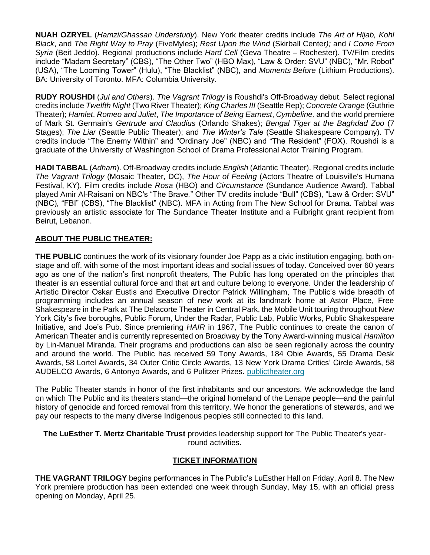**NUAH OZRYEL** (*Hamzi/Ghassan Understudy*). New York theater credits include *The Art of Hijab, Kohl Black*, and *The Right Way to Pray* (FiveMyles); *Rest Upon the Wind* (Skirball Center*);* and *I Come From Syria* (Beit Jeddo). Regional productions include *Hard Cell* (Geva Theatre – Rochester). TV/Film credits include "Madam Secretary" (CBS), "The Other Two" (HBO Max), "Law & Order: SVU" (NBC), "Mr. Robot" (USA), "The Looming Tower" (Hulu), "The Blacklist" (NBC), and *Moments Before* (Lithium Productions). BA: University of Toronto. MFA: Columbia University.

**RUDY ROUSHDI** (*Jul and Others*). *The Vagrant Trilogy* is Roushdi's Off-Broadway debut. Select regional credits include *Twelfth Night* (Two River Theater); *King Charles III* (Seattle Rep); *Concrete Orange* (Guthrie Theater); *Hamlet*, *Romeo and Juliet*, *The Importance of Being Earnest*, *Cymbeline,* and the world premiere of Mark St. Germain's *Gertrude and Claudius* (Orlando Shakes); *Bengal Tiger at the Baghdad Zoo* (7 Stages); *The Liar* (Seattle Public Theater); and *The Winter's Tale* (Seattle Shakespeare Company). TV credits include "The Enemy Within" and "Ordinary Joe" (NBC) and "The Resident" (FOX). Roushdi is a graduate of the University of Washington School of Drama Professional Actor Training Program.

**HADI TABBAL** (*Adham*). Off-Broadway credits include *English* (Atlantic Theater). Regional credits include *The Vagrant Trilogy* (Mosaic Theater, DC), *The Hour of Feeling* (Actors Theatre of Louisville's Humana Festival, KY). Film credits include *Rosa* (HBO) and *Circumstance* (Sundance Audience Award). Tabbal played Amir Al-Raisani on NBC's "The Brave*.*" Other TV credits include "Bull" (CBS), "Law & Order: SVU" (NBC), "FBI" (CBS), "The Blacklist" (NBC). MFA in Acting from The New School for Drama. Tabbal was previously an artistic associate for The Sundance Theater Institute and a Fulbright grant recipient from Beirut, Lebanon.

#### **ABOUT THE PUBLIC THEATER:**

**THE PUBLIC** continues the work of its visionary founder Joe Papp as a civic institution engaging, both onstage and off, with some of the most important ideas and social issues of today. Conceived over 60 years ago as one of the nation's first nonprofit theaters, The Public has long operated on the principles that theater is an essential cultural force and that art and culture belong to everyone. Under the leadership of Artistic Director Oskar Eustis and Executive Director Patrick Willingham, The Public's wide breadth of programming includes an annual season of new work at its landmark home at Astor Place, Free Shakespeare in the Park at The Delacorte Theater in Central Park, the Mobile Unit touring throughout New York City's five boroughs, Public Forum, Under the Radar, Public Lab, Public Works, Public Shakespeare Initiative, and Joe's Pub. Since premiering *HAIR* in 1967, The Public continues to create the canon of American Theater and is currently represented on Broadway by the Tony Award-winning musical *Hamilton*  by Lin-Manuel Miranda. Their programs and productions can also be seen regionally across the country and around the world. The Public has received 59 Tony Awards, 184 Obie Awards, 55 Drama Desk Awards, 58 Lortel Awards, 34 Outer Critic Circle Awards, 13 New York Drama Critics' Circle Awards, 58 AUDELCO Awards, 6 Antonyo Awards, and 6 Pulitzer Prizes[.](http://publictheater.org/) [publictheater.org](http://publictheater.org/)

The Public Theater stands in honor of the first inhabitants and our ancestors. We acknowledge the land on which The Public and its theaters stand—the original homeland of the Lenape people—and the painful history of genocide and forced removal from this territory. We honor the generations of stewards, and we pay our respects to the many diverse Indigenous peoples still connected to this land.

**The LuEsther T. Mertz Charitable Trust** provides leadership support for The Public Theater's yearround activities.

#### **TICKET INFORMATION**

**THE VAGRANT TRILOGY** begins performances in The Public's LuEsther Hall on Friday, April 8. The New York premiere production has been extended one week through Sunday, May 15, with an official press opening on Monday, April 25.